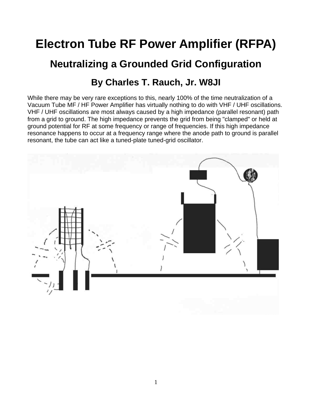# **Electron Tube RF Power Amplifier (RFPA)**

# **Neutralizing a Grounded Grid Configuration**

#### **By Charles T. Rauch, Jr. W8JI**

While there may be very rare exceptions to this, nearly 100% of the time neutralization of a Vacuum Tube MF / HF Power Amplifier has virtually nothing to do with VHF / UHF oscillations. VHF / UHF oscillations are most always caused by a high impedance (parallel resonant) path from a grid to ground. The high impedance prevents the grid from being "clamped" or held at ground potential for RF at some frequency or range of frequencies. If this high impedance resonance happens to occur at a frequency range where the anode path to ground is parallel resonant, the tube can act like a tuned-plate tuned-grid oscillator.

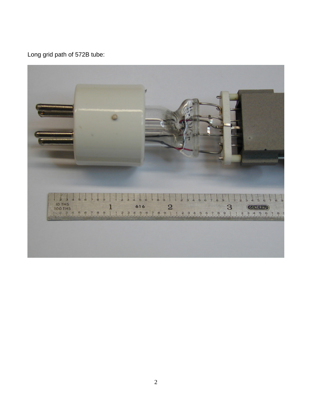Long grid path of 572B tube:

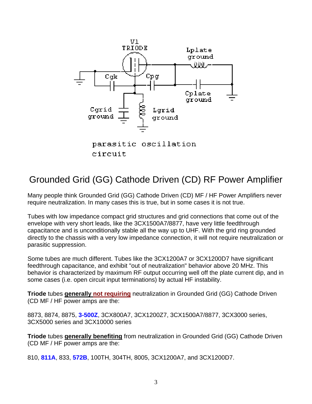

parasitic oscillation circuit

# Grounded Grid (GG) Cathode Driven (CD) RF Power Amplifier

Many people think Grounded Grid (GG) Cathode Driven (CD) MF / HF Power Amplifiers never require neutralization. In many cases this is true, but in some cases it is not true.

Tubes with low impedance compact grid structures and grid connections that come out of the envelope with very short leads, like the 3CX1500A7/8877, have very little feedthrough capacitance and is unconditionally stable all the way up to UHF. With the grid ring grounded directly to the chassis with a very low impedance connection, it will not require neutralization or parasitic suppression.

Some tubes are much different. Tubes like the 3CX1200A7 or 3CX1200D7 have significant feedthrough capacitance, and exhibit "out of neutralization" behavior above 20 MHz. This behavior is characterized by maximum RF output occurring well off the plate current dip, and in some cases (i.e. open circuit input terminations) by actual HF instability.

**Triode** tubes **generally not requiring** neutralization in Grounded Grid (GG) Cathode Driven (CD MF / HF power amps are the:

8873, 8874, 8875, **3-500Z**, 3CX800A7, 3CX1200Z7, 3CX1500A7/8877, 3CX3000 series, 3CX5000 series and 3CX10000 series

**Triode** tubes **generally benefiting** from neutralization in Grounded Grid (GG) Cathode Driven (CD MF / HF power amps are the:

810, **811A**, 833, **572B**, 100TH, 304TH, 8005, 3CX1200A7, and 3CX1200D7.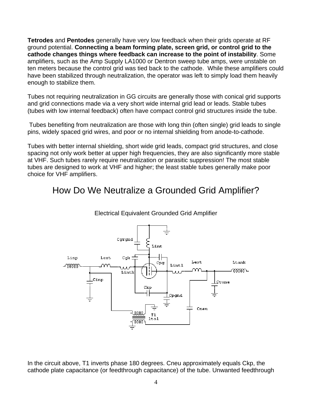**Tetrodes** and **Pentodes** generally have very low feedback when their grids operate at RF ground potential. **Connecting a beam forming plate, screen grid, or control grid to the cathode changes things where feedback can increase to the point of instability**. Some amplifiers, such as the Amp Supply LA1000 or Dentron sweep tube amps, were unstable on ten meters because the control grid was tied back to the cathode. While these amplifiers could have been stabilized through neutralization, the operator was left to simply load them heavily enough to stabilize them.

Tubes not requiring neutralization in GG circuits are generally those with conical grid supports and grid connections made via a very short wide internal grid lead or leads. Stable tubes (tubes with low internal feedback) often have compact control grid structures inside the tube.

 Tubes benefiting from neutralization are those with long thin (often single) grid leads to single pins, widely spaced grid wires, and poor or no internal shielding from anode-to-cathode.

Tubes with better internal shielding, short wide grid leads, compact grid structures, and close spacing not only work better at upper high frequencies, they are also significantly more stable at VHF. Such tubes rarely require neutralization or parasitic suppression! The most stable tubes are designed to work at VHF and higher; the least stable tubes generally make poor choice for VHF amplifiers.

#### How Do We Neutralize a Grounded Grid Amplifier?



Electrical Equivalent Grounded Grid Amplifier

In the circuit above, T1 inverts phase 180 degrees. Cneu approximately equals Ckp, the cathode plate capacitance (or feedthrough capacitance) of the tube. Unwanted feedthrough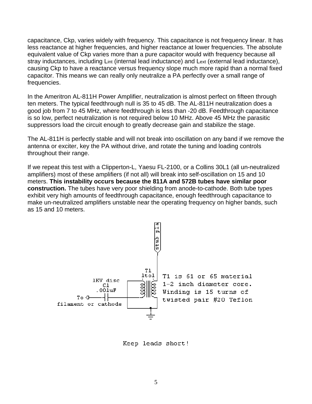capacitance, Ckp, varies widely with frequency. This capacitance is not frequency linear. It has less reactance at higher frequencies, and higher reactance at lower frequencies. The absolute equivalent value of Ckp varies more than a pure capacitor would with frequency because all stray inductances, including Lint (internal lead inductance) and Lext (external lead inductance), causing Ckp to have a reactance versus frequency slope much more rapid than a normal fixed capacitor. This means we can really only neutralize a PA perfectly over a small range of frequencies.

In the Ameritron AL-811H Power Amplifier, neutralization is almost perfect on fifteen through ten meters. The typical feedthrough null is 35 to 45 dB. The AL-811H neutralization does a good job from 7 to 45 MHz, where feedthrough is less than -20 dB. Feedthrough capacitance is so low, perfect neutralization is not required below 10 MHz. Above 45 MHz the parasitic suppressors load the circuit enough to greatly decrease gain and stabilize the stage.

The AL-811H is perfectly stable and will not break into oscillation on any band if we remove the antenna or exciter, key the PA without drive, and rotate the tuning and loading controls throughout their range.

If we repeat this test with a Clipperton-L, Yaesu FL-2100, or a Collins 30L1 (all un-neutralized amplifiers) most of these amplifiers (if not all) will break into self-oscillation on 15 and 10 meters. **This instability occurs because the 811A and 572B tubes have similar poor construction.** The tubes have very poor shielding from anode-to-cathode. Both tube types exhibit very high amounts of feedthrough capacitance, enough feedthrough capacitance to make un-neutralized amplifiers unstable near the operating frequency on higher bands, such as 15 and 10 meters.



Keep leads short!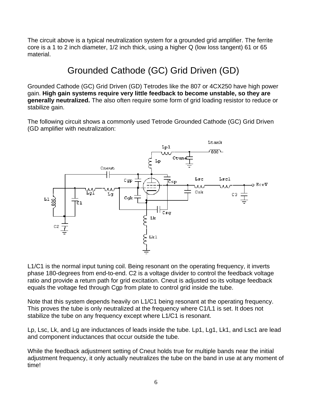The circuit above is a typical neutralization system for a grounded grid amplifier. The ferrite core is a 1 to 2 inch diameter, 1/2 inch thick, using a higher Q (low loss tangent) 61 or 65 material.

# Grounded Cathode (GC) Grid Driven (GD)

Grounded Cathode (GC) Grid Driven (GD) Tetrodes like the 807 or 4CX250 have high power gain. **High gain systems require very little feedback to become unstable, so they are generally neutralized.** The also often require some form of grid loading resistor to reduce or stabilize gain.

The following circuit shows a commonly used Tetrode Grounded Cathode (GC) Grid Driven (GD amplifier with neutralization:



L1/C1 is the normal input tuning coil. Being resonant on the operating frequency, it inverts phase 180-degrees from end-to-end. C2 is a voltage divider to control the feedback voltage ratio and provide a return path for grid excitation. Cneut is adjusted so its voltage feedback equals the voltage fed through Cgp from plate to control grid inside the tube.

Note that this system depends heavily on L1/C1 being resonant at the operating frequency. This proves the tube is only neutralized at the frequency where C1/L1 is set. It does not stabilize the tube on any frequency except where L1/C1 is resonant.

Lp, Lsc, Lk, and Lg are inductances of leads inside the tube. Lp1, Lg1, Lk1, and Lsc1 are lead and component inductances that occur outside the tube.

While the feedback adjustment setting of Cneut holds true for multiple bands near the initial adjustment frequency, it only actually neutralizes the tube on the band in use at any moment of time!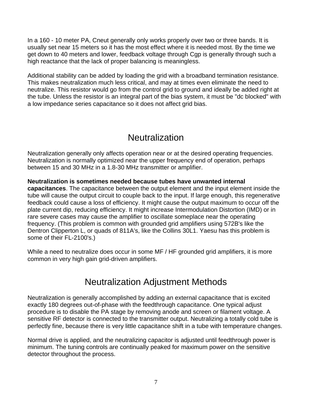In a 160 - 10 meter PA, Cneut generally only works properly over two or three bands. It is usually set near 15 meters so it has the most effect where it is needed most. By the time we get down to 40 meters and lower, feedback voltage through Cgp is generally through such a high reactance that the lack of proper balancing is meaningless.

Additional stability can be added by loading the grid with a broadband termination resistance. This makes neutralization much less critical, and may at times even eliminate the need to neutralize. This resistor would go from the control grid to ground and ideally be added right at the tube. Unless the resistor is an integral part of the bias system, it must be "dc blocked" with a low impedance series capacitance so it does not affect grid bias.

## **Neutralization**

Neutralization generally only affects operation near or at the desired operating frequencies. Neutralization is normally optimized near the upper frequency end of operation, perhaps between 15 and 30 MHz in a 1.8-30 MHz transmitter or amplifier.

**Neutralization is sometimes needed because tubes have unwanted internal capacitances**. The capacitance between the output element and the input element inside the tube will cause the output circuit to couple back to the input. If large enough, this regenerative feedback could cause a loss of efficiency. It might cause the output maximum to occur off the plate current dip, reducing efficiency. It might increase Intermodulation Distortion (IMD) or in rare severe cases may cause the amplifier to oscillate someplace near the operating frequency. (This problem is common with grounded grid amplifiers using 572B's like the Dentron Clipperton L, or quads of 811A's, like the Collins 30L1. Yaesu has this problem is some of their FL-2100's.)

While a need to neutralize does occur in some MF / HF grounded grid amplifiers, it is more common in very high gain grid-driven amplifiers.

### Neutralization Adjustment Methods

Neutralization is generally accomplished by adding an external capacitance that is excited exactly 180 degrees out-of-phase with the feedthrough capacitance. One typical adjust procedure is to disable the PA stage by removing anode and screen or filament voltage. A sensitive RF detector is connected to the transmitter output. Neutralizing a totally cold tube is perfectly fine, because there is very little capacitance shift in a tube with temperature changes.

Normal drive is applied, and the neutralizing capacitor is adjusted until feedthrough power is minimum. The tuning controls are continually peaked for maximum power on the sensitive detector throughout the process.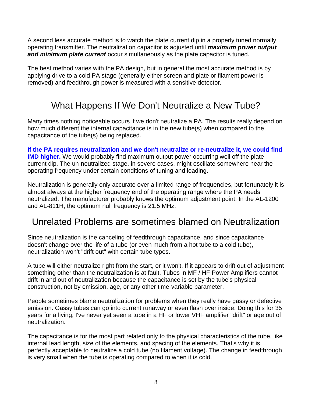A second less accurate method is to watch the plate current dip in a properly tuned normally operating transmitter. The neutralization capacitor is adjusted until *maximum power output and minimum plate current* occur simultaneously as the plate capacitor is tuned.

The best method varies with the PA design, but in general the most accurate method is by applying drive to a cold PA stage (generally either screen and plate or filament power is removed) and feedthrough power is measured with a sensitive detector.

## What Happens If We Don't Neutralize a New Tube?

Many times nothing noticeable occurs if we don't neutralize a PA. The results really depend on how much different the internal capacitance is in the new tube(s) when compared to the capacitance of the tube(s) being replaced.

**If the PA requires neutralization and we don't neutralize or re-neutralize it, we could find IMD higher.** We would probably find maximum output power occurring well off the plate current dip. The un-neutralized stage, in severe cases, might oscillate somewhere near the operating frequency under certain conditions of tuning and loading.

Neutralization is generally only accurate over a limited range of frequencies, but fortunately it is almost always at the higher frequency end of the operating range where the PA needs neutralized. The manufacturer probably knows the optimum adjustment point. In the AL-1200 and AL-811H, the optimum null frequency is 21.5 MHz.

### Unrelated Problems are sometimes blamed on Neutralization

Since neutralization is the canceling of feedthrough capacitance, and since capacitance doesn't change over the life of a tube (or even much from a hot tube to a cold tube), neutralization won't "drift out" with certain tube types.

A tube will either neutralize right from the start, or it won't. If it appears to drift out of adjustment something other than the neutralization is at fault. Tubes in MF / HF Power Amplifiers cannot drift in and out of neutralization because the capacitance is set by the tube's physical construction, not by emission, age, or any other time-variable parameter.

People sometimes blame neutralization for problems when they really have gassy or defective emission. Gassy tubes can go into current runaway or even flash over inside. Doing this for 35 years for a living, I've never yet seen a tube in a HF or lower VHF amplifier "drift" or age out of neutralization.

The capacitance is for the most part related only to the physical characteristics of the tube, like internal lead length, size of the elements, and spacing of the elements. That's why it is perfectly acceptable to neutralize a cold tube (no filament voltage). The change in feedthrough is very small when the tube is operating compared to when it is cold.